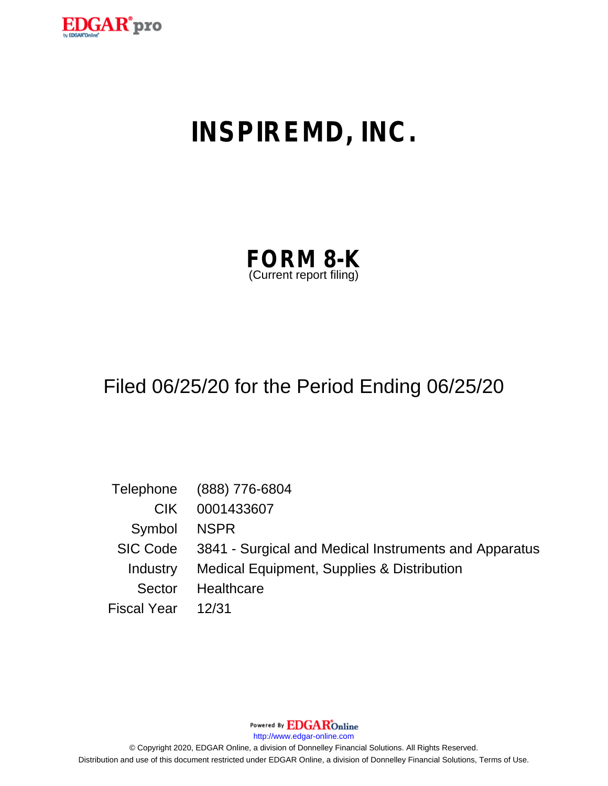

# **INSPIREMD, INC.**

| <b>FORM 8-K</b>         |  |
|-------------------------|--|
| (Current report filing) |  |

## Filed 06/25/20 for the Period Ending 06/25/20

|                    | Telephone (888) 776-6804                                       |
|--------------------|----------------------------------------------------------------|
| CIK.               | 0001433607                                                     |
| Symbol NSPR        |                                                                |
|                    | SIC Code 3841 - Surgical and Medical Instruments and Apparatus |
|                    | Industry Medical Equipment, Supplies & Distribution            |
| Sector             | Healthcare                                                     |
| Fiscal Year  12/31 |                                                                |

Powered By **EDGAR**Online

http://www.edgar-online.com

© Copyright 2020, EDGAR Online, a division of Donnelley Financial Solutions. All Rights Reserved. Distribution and use of this document restricted under EDGAR Online, a division of Donnelley Financial Solutions, Terms of Use.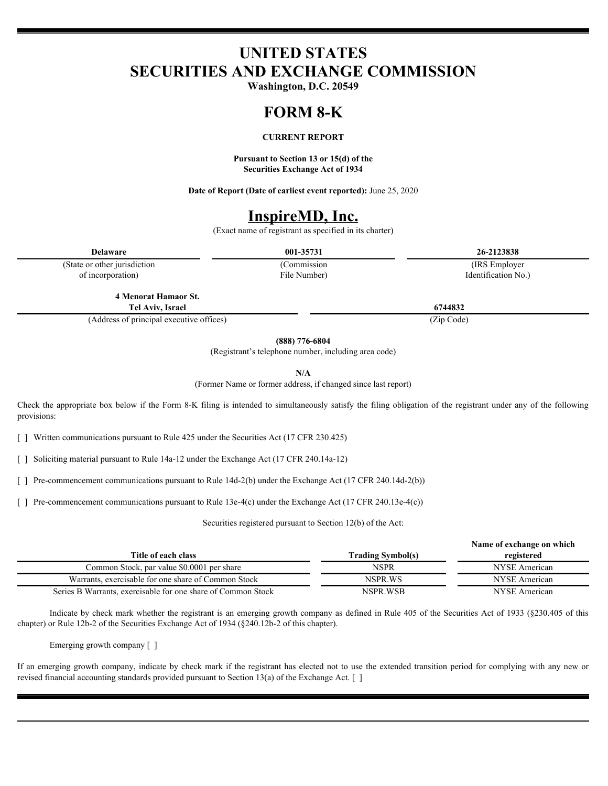### **UNITED STATES SECURITIES AND EXCHANGE COMMISSION**

**Washington, D.C. 20549**

#### **FORM 8-K**

#### **CURRENT REPORT**

**Pursuant to Section 13 or 15(d) of the Securities Exchange Act of 1934**

**Date of Report (Date of earliest event reported):** June 25, 2020

### **InspireMD, Inc.**

(Exact name of registrant as specified in its charter)

(State or other jurisdiction of incorporation)

File Number)

**Delaware 001-35731 26-2123838** (Commission (IRS Employer Identification No.)

**4 Menorat Hamaor St. Tel Aviv, Israel 6744832**

(Address of principal executive offices) (Zip Code)

**(888) 776-6804**

(Registrant's telephone number, including area code)

**N/A**

(Former Name or former address, if changed since last report)

Check the appropriate box below if the Form 8-K filing is intended to simultaneously satisfy the filing obligation of the registrant under any of the following provisions:

[ ] Written communications pursuant to Rule 425 under the Securities Act (17 CFR 230.425)

[ ] Soliciting material pursuant to Rule 14a-12 under the Exchange Act (17 CFR 240.14a-12)

[ ] Pre-commencement communications pursuant to Rule 14d-2(b) under the Exchange Act (17 CFR 240.14d-2(b))

[ ] Pre-commencement communications pursuant to Rule 13e-4(c) under the Exchange Act (17 CFR 240.13e-4(c))

Securities registered pursuant to Section 12(b) of the Act:

|                                                              | Name of exchange on which |               |
|--------------------------------------------------------------|---------------------------|---------------|
| Title of each class                                          | <b>Trading Symbol(s)</b>  | registered    |
| Common Stock, par value \$0.0001 per share                   | NSPR                      | NYSE American |
| Warrants, exercisable for one share of Common Stock          | NSPR.WS                   | NYSE American |
| Series B Warrants, exercisable for one share of Common Stock | NSPR.WSB                  | NYSE American |

Indicate by check mark whether the registrant is an emerging growth company as defined in Rule 405 of the Securities Act of 1933 (§230.405 of this chapter) or Rule 12b-2 of the Securities Exchange Act of 1934 (§240.12b-2 of this chapter).

Emerging growth company [ ]

If an emerging growth company, indicate by check mark if the registrant has elected not to use the extended transition period for complying with any new or revised financial accounting standards provided pursuant to Section 13(a) of the Exchange Act. [ ]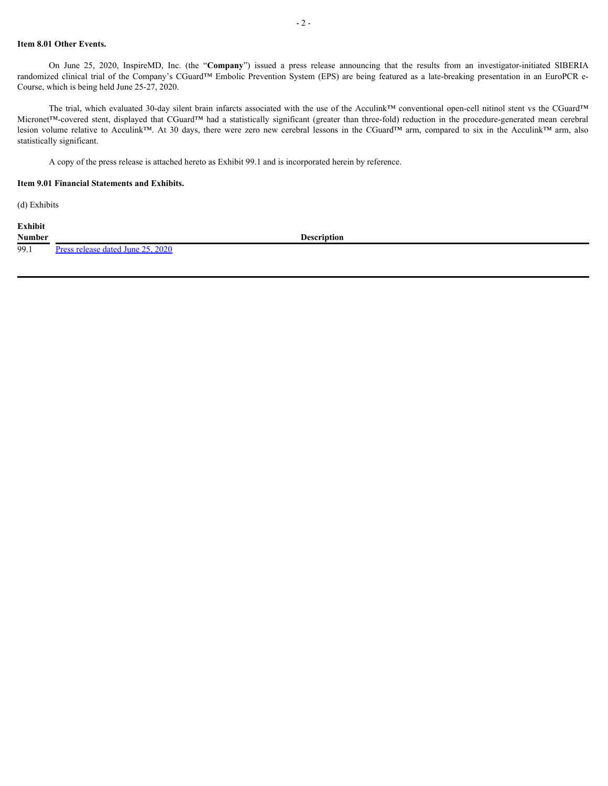#### **Item 8.01 Other Events.**

Course, which is being held June 25-27, 2020.

On June 25, 2020, InspireMD, Inc. (the "**Company**") issued a press release announcing that the results from an investigator-initiated SIBERIA edd clinical trial of the Company's CGuard™ Embolic Prevention System (EPS) ar **14.** Them 8.01 Other Events.<br>
Company and the "Company") issued a press release announcing that the results from an investigator-initiated SIBERIA<br>
randomized clinical trial of the Company's CGuard™ Embolic Prevention S The trial, which evaluated 30-day silent brain infarcts associated with the use of the Acculink™ conventional open-cell nitinol stent vs the CGuard™ Micronet<sup>TM</sup>-covered stent, displayed that CGuard<sup>TM</sup> Embolic Prevention System (EPS) are being featured as a late-breaking presentation in an EuroPCR e-<br>Crourse, which is being held June 25-27, 2020.<br>Course, which is bei Lem 8.01 Other Events.<br>
On June 25, 2020, InspireMD, Inc. (the "Company") issued a press release amouncing that the results from an investigator-initiated SIBERIA<br>
cround and conclusion that the company's CGuard™ Embolic statistically significant.

A copy of the press release is attached hereto as Exhibit 99.1 and is incorporated herein by reference.

#### **Item 9.01 Financial Statements and Exhibits.**

(d) Exhibits

**Exhibit**

99.1 [Press release dated June 25, 2020](#page-4-0)

**Number Description**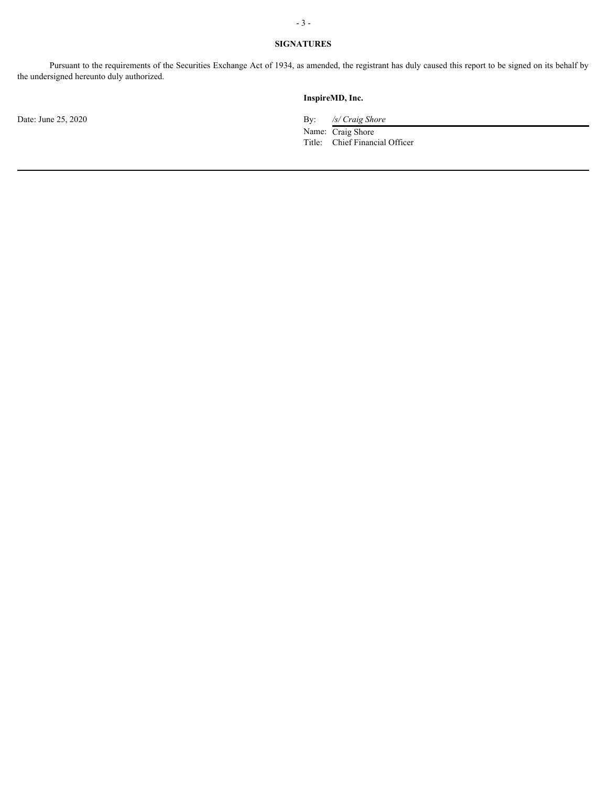### **SIGNATURES**

Pursuant to the requirements of the Securities Exchange Act of 1934, as amended, the registrant has duly caused this report to be signed on its behalf by the undersigned hereunto duly authorized.

#### **InspireMD, Inc.**

Date: June 25, 2020 By: */s/ Craig Shore* 

Name: Craig Shore Title: Chief Financial Officer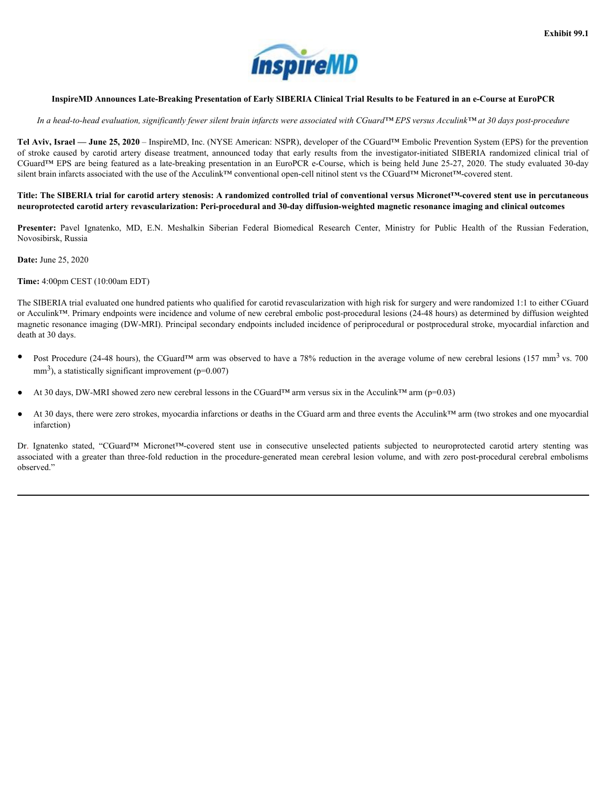

#### <span id="page-4-0"></span>InspireMD Announces Late-Breaking Presentation of Early SIBERIA Clinical Trial Results to be Featured in an e-Course at EuroPCR

#### *In a head-to-head evaluation, significantly fewer silent brain infarcts were associated with CGuard™ EPS versus Acculink™ at 30 days post-procedure*

**Tel Aviv, Israel — June 25, 2020** – InspireMD, Inc. (NYSE American: NSPR), developer of the CGuard™ Embolic Prevention System (EPS) for the prevention **Exhibit 99.1**<br> **InspireMD** Announces Late-Breaking Presentation of Early SIBERIA Clinical Trial Results to be Featured in an e-Course at EuroPCR<br> *In a head-to-head evaluation, significantly fewer silent brain infarcts w* CGuard™ EPS are being featured as a late-breaking presentation in an EuroPCR e-Course, which is being held June 25-27, 2020. The study evaluated 30-day silent brain infarcts associated with the use of the Acculink™ conventional open-cell nitinol stent vs the CGuard™ Micronet™-covered stent. **EXECUTE AND**<br> **PARTICULAR CONDUCT TO EXECUTE THE CONDUCT CONDUCT**<br> **PARTICULAR CONDUCTS AND CONDUCT TO EXECUTE AND CONDUCT AND CONDUCT AND A FEDERAL CONDUCT AND A SURPOSE AND A FEDERAL CONDUCT AND A SURPOSE AND A FEDERAL** 

#### Title: The SIBERIA trial for carotid artery stenosis: A randomized controlled trial of conventional versus Micronet™-covered stent use in percutaneous neuroprotected carotid artery revascularization: Peri-procedural and 30-day diffusion-weighted magnetic resonance imaging and clinical outcomes

Presenter: Pavel Ignatenko, MD, E.N. Meshalkin Siberian Federal Biomedical Research Center, Ministry for Public Health of the Russian Federation, Novosibirsk, Russia

**Date:** June 25, 2020

**Time:** 4:00pm CEST (10:00am EDT)

The SIBERIA trial evaluated one hundred patients who qualified for carotid revascularization with high risk for surgery and were randomized 1:1 to either CGuard or Acculink™. Primary endpoints were incidence and volume of new cerebral embolic post-procedural lesions (24-48 hours) as determined by diffusion weighted magnetic resonance imaging (DW-MRI). Principal secondary endpoints included incidence of periprocedural or postprocedural stroke, myocardial infarction and death at 30 days. *Ign in the indebte between between the consecutive state in the interaction of the CGuard<sup>TE</sup> For the present of the CGuard<sup>TE</sup> Tender is subjected to the energy in the consecutive interaction, the conservative in the* Tel Avis, barne - Jame 25, 2020 - Impindd), Inc. (NYST American NSWI), develope of for CGard<sup>14</sup> Fabelie Procedure-BPS of the procedure-fold reduction in the procedure-fold reduction in the procedure-fold reduction in the

- Post Procedure (24-48 hours), the CGuard<sup>TM</sup> arm was observed to have a 78% reduction in the average volume of new cerebral lesions (157 mm<sup>3</sup> vs. 700  $mm<sup>3</sup>$ ), a statistically significant improvement (p=0.007)
- At 30 days, DW-MRI showed zero new cerebral lessons in the CGuard™ arm versus six in the Acculink™ arm (p=0.03)
- At 30 days, there were zero strokes, myocardia infarctions or deaths in the CGuard arm and three events the Acculink™ arm (two strokes and one myocardial infarction)

observed."